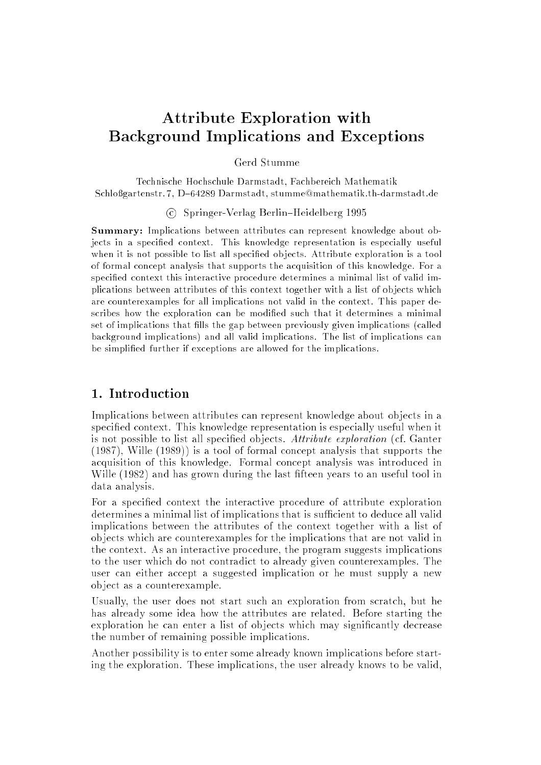# Attribute Exploration with Background Implications and Exceptions

Gerd Stumme

Technische Hochschule Darmstadt, Fachbereich Mathematik Schloßgartenstr. 7, D-64289 Darmstadt, stumme@mathematik.th-darmstadt.de

 $\sum_{i=1}^{n}$  Springer-Verlag Berlin $\sum_{i=1}^{n}$ 

Summary: Implications between attributes can represent knowledge about objects in a specied context. This knowledge representation is especially useful when it is not possible to list all specified objects. Attribute exploration is a tool of formal concept analysis that supports the acquisition of this knowledge. For a specified context this interactive procedure determines a minimal list of valid implications between attributes of this context together with a list of ob jects which are counterexamples for all implications not valid in the context. This paper describes how the exploration can be modified such that it determines a minimal set of implications that fills the gap between previously given implications (called background implications) and all valid implications. The list of implications can be simplied further if exceptions are allowed for the implications.

## 1. Introduction

Implications between attributes can represent knowledge about objects in a specified context. This knowledge representation is especially useful when it is not possible to list all specified objects. Attribute exploration (cf. Ganter (1987), Wille (1989)) is a tool of formal concept analysis that supports the acquisition of this knowledge. Formal concept analysis was introduced in Wille (1982) and has grown during the last fteen years to an useful tool in data analysis.

For a specied context the interactive procedure of attribute exploration determines a minimal list of implications that is sufficient to deduce all valid implications between the attributes of the context together with a list of ob jects which are counterexamples for the implications that are not valid in the context. As an interactive procedure, the program suggests implications to the user which do not contradict to already given counterexamples. The user can either accept a suggested implication or he must supply a new ob ject as a counterexample.

Usually, the user does not start such an exploration from scratch, but he has already some idea how the attributes are related. Before starting the exploration he can enter a list of objects which may significantly decrease the number of remaining possible implications.

Another possibility is to enter some already known implications before starting the exploration. These implications, the user already knows to be valid,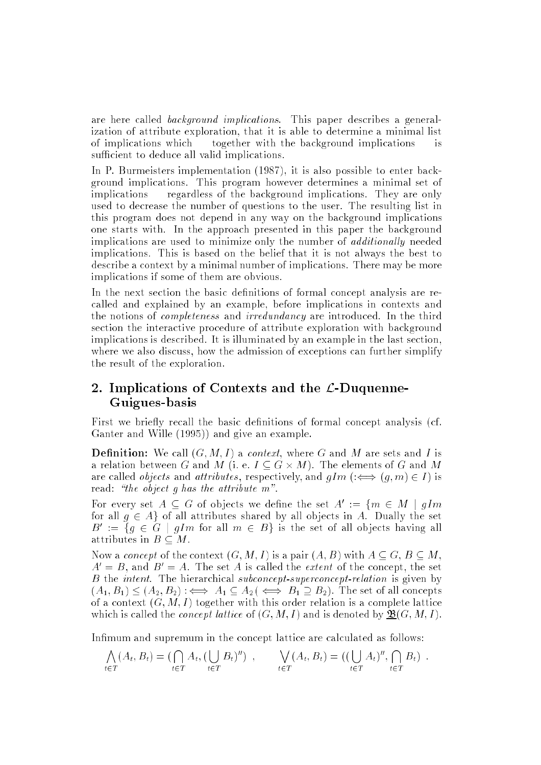are here called background implications. This paper describes a generalization of attribute exploration, that it is able to determine a minimal list of implications which  $-$  together with the background implications  $-$  is sufficient to deduce all valid implications.

In P. Burmeisters implementation (1987), it is also possible to enter background implications. This program however determines a minimal set of implications — regardless of the background implications. They are only used to decrease the number of questions to the user. The resulting list in this program does not depend in any way on the background implications one starts with. In the approach presented in this paper the background implications are used to minimize only the number of additionally needed implications. This is based on the belief that it is not always the best to describe a context by a minimal number of implications. There may be more implications if some of them are obvious.

In the next section the basic definitions of formal concept analysis are recalled and explained by an example, before implications in contexts and the notions of completeness and irredundancy are introduced. In the third section the interactive procedure of attribute exploration with background implications is described. It is illuminated by an example in the last section, where we also discuss, how the admission of exceptions can further simplify the result of the exploration.

## 2. Implications of Contexts and the  $\mathcal{L}\text{-}\mathbf{Duquenne}\text{-}$ Guigues-basis

First we briefly recall the basic definitions of formal concept analysis (cf. Ganter and Wille (1995)) and give an example.

**Definition:** We call  $(G, M, I)$  a *context*, where G and M are sets and I is a relation between G and M (i. e. I G - ). The elements of G and M (i are called *objects* and *attributes*, respectively, and  $gIm (\iff (g, m) \in I)$  is read: "the object g has the attribute  $m$ ".

For every set  $A \subseteq G$  of objects we define the set  $A := \{m \in M \mid qIm\}$ for all  $g \in A$  of all attributes shared by all objects in A. Dually the set  $B^{\circ} := \{q \in G \mid qIm \text{ for all } m \in B\}$  is the set of all objects having all attributes in  $B \subset M$ .

Now a concept of the context  $(G, M, I)$  is a pair  $(A, B)$  with  $A \subseteq G, B \subseteq M$ ,  $A' = B$ , and  $B' = A$ . The set A is called the *extent* of the concept, the set B the intent. The hierarchical subconcept-superconcept-relation is given by  $(A_1, B_1) \leq (A_2, B_2) : \iff A_1 \subseteq A_2 \iff B_1 \supseteq B_2$ . The set of all concepts of a context  $(G, M, I)$  together with this order relation is a complete lattice which is called the *concept lattice* of  $(G, M, I)$  and is denoted by  $\mathfrak{B}(G, M, I)$ .

Infimum and supremum in the concept lattice are calculated as follows:

$$
\bigwedge_{t \in T} (A_t, B_t) = \left( \bigcap_{t \in T} A_t, \left( \bigcup_{t \in T} B_t \right)^{\prime\prime} \right) , \qquad \bigvee_{t \in T} (A_t, B_t) = \left( \left( \bigcup_{t \in T} A_t \right)^{\prime\prime}, \bigcap_{t \in T} B_t \right) .
$$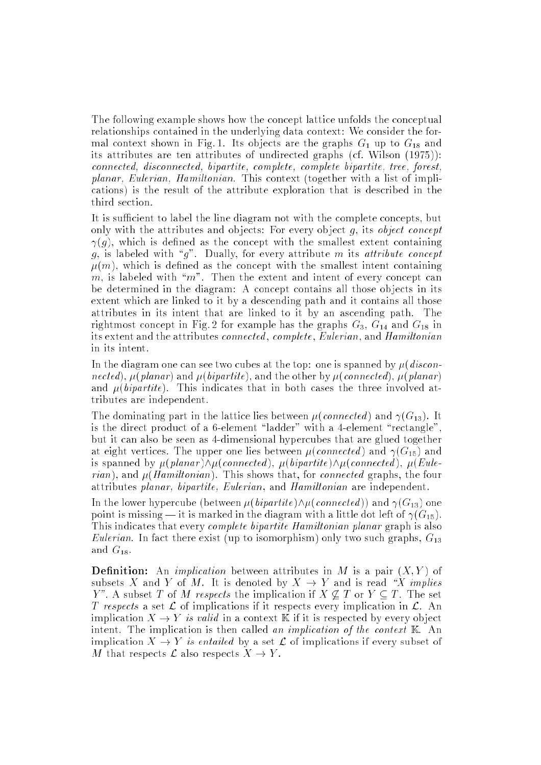The following example shows how the concept lattice unfolds the conceptual relationships contained in the underlying data context: We consider the formal context shown in Fig. 1. Its objects are the graphs  $G_1$  up to  $G_{18}$  and its attributes are ten attributes of undirected graphs (cf. Wilson (1975)): connected, disconnected, bipartite, complete, complete bipartite, tree, forest, planar, Eulerian, Hamiltonian. This context (together with a list of implications) is the result of the attribute exploration that is described in the third section.

It is sufficient to label the line diagram not with the complete concepts, but only with the attributes and objects: For every object q, its object concept  $\gamma(q)$ , which is defined as the concept with the smallest extent containing q, is labeled with "q". Dually, for every attribute m its attribute concept  $\mu(m)$ , which is defined as the concept with the smallest intent containing m, is labeled with " $m$ ". Then the extent and intent of every concept can be determined in the diagram: A concept contains all those objects in its extent which are linked to it by a descending path and it contains all those attributes in its intent that are linked to it by an ascending path. The rightmost concept in Fig. 2 for example has the graphs  $G_3$ ,  $G_{14}$  and  $G_{18}$  in its extent and the attributes *connected*, *complete*, *Eulerian*, and *Hamiltonian* in its intent.

In the diagram one can see two cubes at the top: one is spanned by  $\mu(discon$ nected),  $\mu$ (planar) and  $\mu$ (bipartite), and the other by  $\mu$ (connected),  $\mu$ (planar) and  $\mu(bipartite)$ . This indicates that in both cases the three involved attributes are independent.

The dominating part in the lattice lies between  $\mu$ (*connected*) and  $\gamma$ ( $G_{13}$ ). It is the direct product of a 6-element "ladder" with a 4-element "rectangle", but it can also be seen as 4-dimensional hypercubes that are glued together at eight vertices. The upper one lies between  $\mu$  (*connected*) and  $\gamma$  ( $G_{15}$ ) and is spanned by  $\mu(\text{planar})\wedge\mu(\text{connected}), \mu(\text{bipartite})\wedge\mu(\text{connected}), \mu(\text{Eule-})$ *rian*), and  $\mu(Hamiltonian)$ . This shows that, for *connected* graphs, the four attributes planar, bipartite, Eulerian, and Hamiltonian are independent.

In the lower hypercube (between  $\mu(bipartite) \wedge \mu(connected))$  and  $\gamma(G_{13})$  one point is missing — it is marked in the diagram with a little dot left of  $\gamma(G_{15})$ . This indicates that every complete bipartite Hamiltonian planar graph is also *Eulerian*. In fact there exist (up to isomorphism) only two such graphs,  $G_{13}$ and  $G_{18}$ .

**Definition:** An *implication* between attributes in M is a pair  $(X, Y)$  of subsets X and Y of M. It is denoted by  $X \to Y$  and is read "X implies" Y". A subset T of M respects the implication if  $X \nsubseteq T$  or  $Y \subseteq T$ . The set T respects a set  $\mathcal L$  of implications if it respects every implication in  $\mathcal L$ . An implication  $X \to Y$  is valid in a context K if it is respected by every object intent. The implication is then called an *implication of the context*  $\mathbb{K}$ . An implication  $X \to Y$  is entailed by a set  $\mathcal L$  of implications if every subset of M that respects  $\mathcal{L}$  also respects  $X \to Y$ .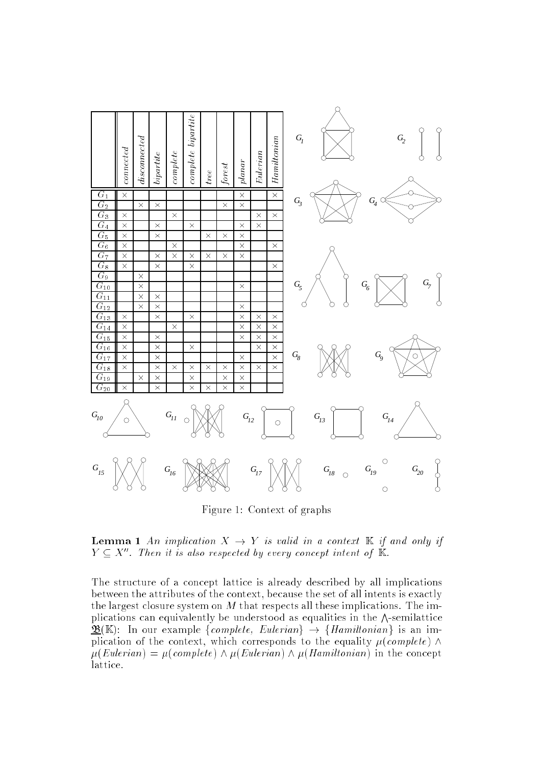

Figure 1: Context of graphs

**Lemma 1** An implication  $X \rightarrow Y$  is valid in a context  $\mathbb{K}$  if and only if  $Y \subseteq A$  . Then it is also respected by every concept intent of  $\mathbb{R}.$ 

The structure of a concept lattice is already described by all implications between the attributes of the context, because the set of all intents is exactly the largest closure system on  $M$  that respects all these implications. The implications can equivalently be understood as equalities in the  $\Lambda$ -semilattice  $\mathfrak{B}(\mathbb{K})$ : In our example {complete, Eulerian}  $\rightarrow$  {Hamiltonian} is an implication of the context, which corresponds to the equality  $\mu(\text{complete}) \wedge$  $\mu(Eulerian) = \mu(complete) \wedge \mu(Eulerian) \wedge \mu(Hamiltonian)$  in the concept lattice.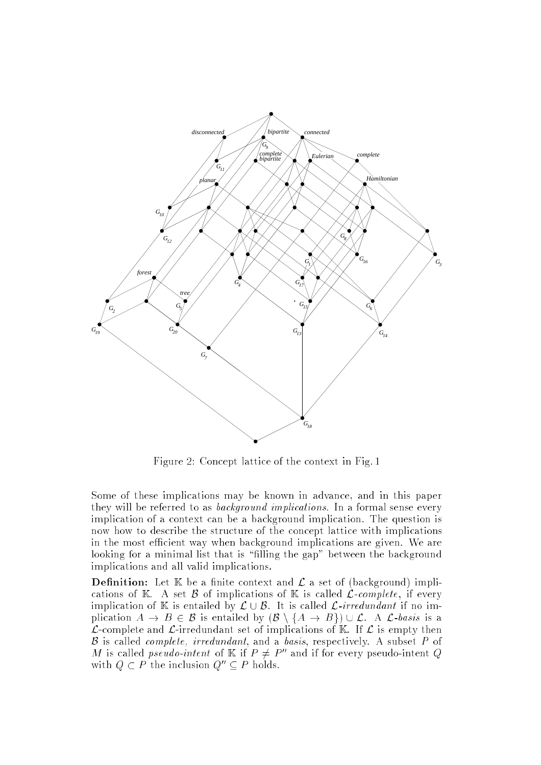

Figure 2: Concept lattice of the context in Fig. 1

Some of these implications may be known in advance, and in this paper they will be referred to as *background implications*. In a formal sense every implication of a context can be a background implication. The question is now how to describe the structure of the concept lattice with implications in the most efficient way when background implications are given. We are looking for a minimal list that is "filling the gap" between the background implications and all valid implications.

**Definition:** Let  $K$  be a finite context and  $\mathcal{L}$  a set of (background) implications of K. A set  $\beta$  of implications of K is called  $\mathcal{L}$ -complete, if every implication of K is entailed by  $\mathcal{L} \cup \mathcal{B}$ . It is called  $\mathcal{L}$ -irredundant if no implication  $A \to B \in \mathcal{B}$  is entailed by  $(\mathcal{B} \setminus \{A \to B\}) \cup \mathcal{L}$ . A  $\mathcal{L}$ -basis is a L-complete and L-irredundant set of implications of K. If  $\mathcal L$  is empty then B is called complete, irredundant, and a basis, respectively. A subset P of M is called *pseudo-intent* of  $\mathbb{R}$  if  $P \neq P$  and if for every pseudo-intent  $Q$ with  $\cup$  (  $P$  the inclusion  $\cup$   $\subseteq$   $P$  holds.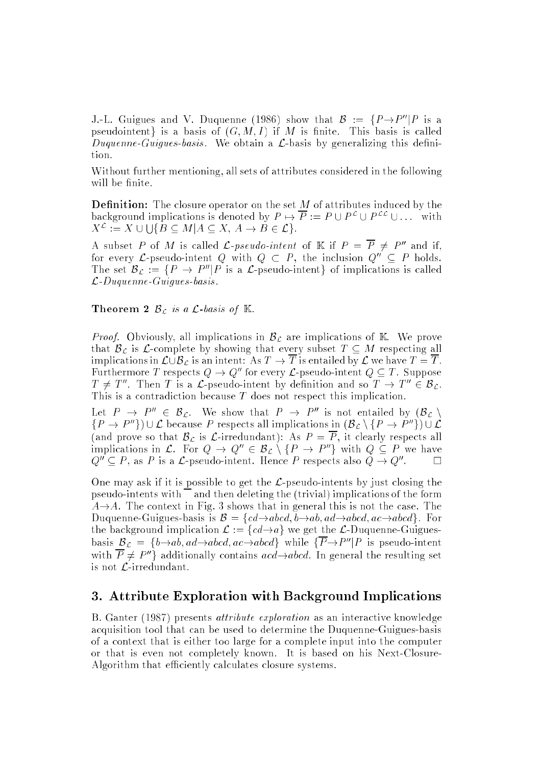J.-L. Guigues and V. Duquenne (1986) show that  $\mathcal{B} := \{P \rightarrow P'' | P$  is a pseudointent} is a basis of  $(G, M, I)$  if M is finite. This basis is called Duquenne-Guigues-basis. We obtain a  $\mathcal L$ -basis by generalizing this definition.

Without further mentioning, all sets of attributes considered in the following will be finite.

**Definition:** The closure operator on the set  $M$  of attributes induced by the background implications is denoted by  $P \mapsto P := P \cup P^{\perp} \cup P^{\perp} \cup \ldots$  with  $X^{\mathcal{L}} := X \cup \{ \mid \}$   $B \subseteq M$   $\{A \subseteq X, A \rightarrow B \in \mathcal{L} \}$ .

A subset P of M is called L-pseudo-intent of  $\mathbb{R}$  if  $P \equiv P \not\equiv P$  and if, for every  $L$ -pseudo-intent  $Q$  with  $Q \subset P$ , the inclusion  $Q \subset P$  holds. The set  $\mathcal{B}_{\mathcal{L}} := \{P \to P'' | P$  is a  $\mathcal{L}$ -pseudo-intent} of implications is called  $\mathcal{L}$ -Duquenne-Guigues-basis.

**Theorem 2**  $\mathcal{B}_{\mathcal{L}}$  is a  $\mathcal{L}$ -basis of  $\mathbb{K}$ .

*Proof.* Obviously, all implications in  $\mathcal{B}_{\mathcal{L}}$  are implications of K. We prove that  $\mathcal{B}_{\mathcal{L}}$  is  $\mathcal{L}$ -complete by showing that every subset  $T \subseteq M$  respecting all implications in  $\mathcal{L}\cup\mathcal{B}_{\mathcal{L}}$  is an intent: As  $T \to \overline{T}$  is entailed by  $\mathcal{L}$  we have  $T = \overline{T}$ . Furthermore T respects  $Q \to Q''$  for every *L*-pseudo-intent  $Q \subseteq T$ . Suppose  $I \neq I$  . Then I is a  $L$ -pseudo-intent by definition and so  $I \rightarrow I \in \mathcal{D}_{L}$ . This is a contradiction because  $T$  does not respect this implication.

Let  $P \rightarrow P \in \mathcal{D}_{\mathcal{L}}$ . We show that  $P \rightarrow P$  is not entailed by  $(\mathcal{D}_{\mathcal{L}})$  $\{F \to F^{\circ}\}\cup\mathcal{L}$  because F respects all implications in  $(\mathcal{D}_{\mathcal{L}} \setminus \{F \to F^{\circ}\}) \cup \mathcal{L}$ (and prove so that  $\mathcal{B}_{\mathcal{L}}$  is  $\mathcal{L}$ -irredundant): As  $P = \overline{P}$ , it clearly respects all implications in L. For  $Q \to Q'' \in \mathcal{B}_{\mathcal{L}} \setminus \{P \to P''\}$  with  $Q \subseteq P$  we have  $Q'' \subseteq P$ , as P is a L-pseudo-intent. Hence P respects also  $Q \to Q''$ .

One may ask if it is possible to get the  $\mathcal{L}$ -pseudo-intents by just closing the pseudo-intents with  $\overline{\phantom{a}}$  and then deleting the (trivial) implications of the form  $A \rightarrow A$ . The context in Fig. 3 shows that in general this is not the case. The Duquenne-Guigues-basis is  $\mathcal{B} = \{cd \rightarrow abcd, b \rightarrow ab, ad \rightarrow abcd, ac \rightarrow abcd\}$ . For the background implication <sup>L</sup> := fcd!ag we get the L-Duquenne-Guiguesbasis  $B_c = \{b \rightarrow ab, ad \rightarrow abcd, ac \rightarrow abcd\}$  while  $\{\overline{P} \rightarrow P''|P$  is pseudo-intent with  $\overline{P} \neq P''$  additionally contains  $acd \rightarrow abcd$ . In general the resulting set is not  $\mathcal{L}$ -irredundant.

#### 3. Attribute Exploration with Background Implications

B. Ganter (1987) presents attribute exploration as an interactive knowledge acquisition tool that can be used to determine the Duquenne-Guigues-basis of a context that is either too large for a complete input into the computer or that is even not completely known. It is based on his Next-Closure-Algorithm that efficiently calculates closure systems.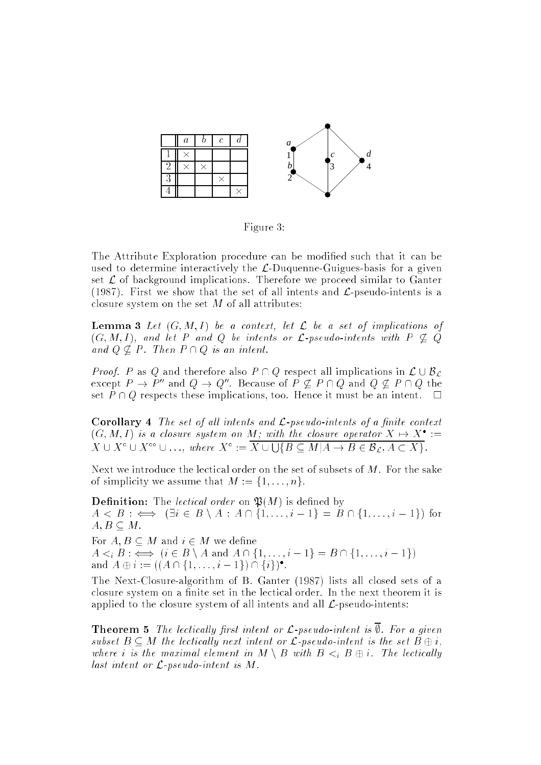

Figure 3:

The Attribute Exploration procedure can be modified such that it can be used to determine interactively the  $\mathcal{L}$ -Duquenne-Guigues-basis for a given set  $\mathcal L$  of background implications. Therefore we proceed similar to Ganter (1987). First we show that the set of all intents and  $\mathcal{L}$ -pseudo-intents is a closure system on the set  $M$  of all attributes:

**Lemma 3** Let  $(G, M, I)$  be a context, let  $\mathcal L$  be a set of implications of  $(G, M, I)$ , and let P and Q be intents or L-pseudo-intents with  $P \not\subseteq Q$ and  $Q \nsubseteq P$ . Then  $P \cap Q$  is an intent.

*Proof.* P as Q and therefore also  $P \cap Q$  respect all implications in  $\mathcal{L} \cup \mathcal{B}_{\mathcal{L}}$ except  $P \to P$  and  $Q \to Q$ . Decause of  $P \not\subseteq P \sqcup Q$  and  $Q \not\subseteq P \sqcup Q$  the set  $P \cap Q$  respects these implications, too. Hence it must be an intent.

Corollary 4 The set of all intents and  $\mathcal{L}$ -pseudo-intents of a finite context (G, M, I) is a closure system on M; with the closure operator  $A \mapsto A$  :=  $X \cup X^{\circ} \cup X^{\circ \circ} \cup \ldots$ , where  $X^{\circ} := X \cup \bigcup \{ B \subseteq M | A \to B \in \mathcal{B}_{\mathcal{L}}, A \subset X \}.$ 

Next we introduce the lectical order on the set of subsets of  $M$ . For the sake of simplicity we assume that  $M := \{1, \ldots, n\}.$ 

**Definition:** The *lectical order* on  $\mathfrak{P}(M)$  is defined by  $A \leq B : \iff (\exists i \in B \setminus A : A \cap \{1, \ldots, i-1\} = B \cap \{1, \ldots, i-1\})$  for  $A, B \subseteq M$ .

For  $A, B \subseteq M$  and  $i \in M$  we define  $A \leq_i B : \iff (i \in B \setminus A \text{ and } A \cap \{1, \ldots, i-1\} = B \cap \{1, \ldots, i-1\})$ and  $A \oplus i := ((A \sqcup \{1, \ldots, i-1\}) \sqcup \{i\})$ .

The Next-Closure-algorithm of B. Ganter (1987) lists all closed sets of a closure system on a finite set in the lectical order. In the next theorem it is applied to the closure system of all intents and all  $\mathcal{L}$ -pseudo-intents:

**Theorem 5** The lectically first intent or  $\mathcal{L}$ -pseudo-intent is  $\emptyset$ . For a given subset  $B \subseteq M$  the lectically next intent or  $\mathcal{L}$ -pseudo-intent is the set  $B \oplus i$ , where i is the maximal element in  $M \setminus B$  with  $B \leq_i B \oplus i$ . The lectically last intent or  $\mathcal{L}$ -pseudo-intent is  $M$ .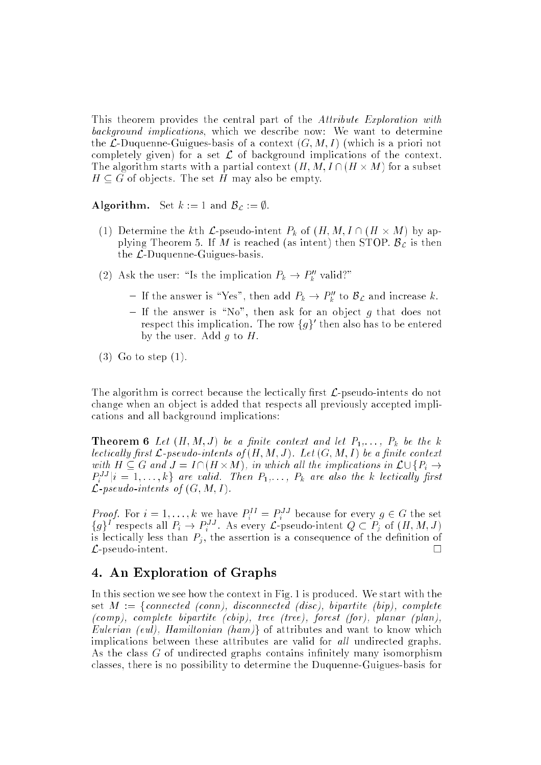This theorem provides the central part of the *Attribute Exploration with* background implications, which we describe now: We want to determine the  $\mathcal{L}$ -Duquenne-Guigues-basis of a context  $(G, M, I)$  (which is a priori not completely given) for a set  $\mathcal L$  of background implications of the context. The algorithm starts with a particle context (II  $\sim$  1, M) for a subset  $\sim$  $H\subseteq G$  of objects. The set H may also be empty.

**Algorithm.** Set  $k := 1$  and  $\mathcal{B}_{\mathcal{L}} := \emptyset$ .

- (a) determine the kth L-pseudo-intert Pk of (H) intertained  $\mathcal{L}$ plying Theorem 5. If M is reached (as intent) then STOP.  $B_{\mathcal{L}}$  is then the  $\mathcal{L}$ -Duquenne-Guigues-basis.
- (2) Ask the user: is the implication  $P_k \to P_k^{\sim}$  valid!
	- ${\mathcal P}$  if the answer is  ${\mathcal T}$  res , then add  $P_k \to P_k$  to  ${\mathcal D} _{\mathcal L}$  and increase  $k.$
	- ${\sf -}$  If the answer is "No", then ask for an object g that does not respect this implication. The row  $\{q\}$  then also has to be entered by the user. Add  $q$  to  $H$ .
- (3) Go to step (1).

The algorithm is correct because the lectically first  $\mathcal{L}$ -pseudo-intents do not change when an ob ject is added that respects all previously accepted implications and all background implications:

**Theorem 6** Let  $(H, M, J)$  be a finite context and let  $P_1, \ldots, P_k$  be the k lectically first  $\mathcal{L}$ -pseudo-intents of  $(H, M, J)$ . Let  $(G, M, I)$  be a finite context with H  $\equiv$  I  $\sim$  1 and 3  $\sim$  I  $\sim$  I  $\sim$  I  $\sim$  in which all the implications in Lemma . I  $\sim$  I  $\sim$  I  $\sim$  $P_i^{\perp} | i = 1, \ldots, \kappa \}$  are valid. Then  $P_1, \ldots, P_k$  are also the  $\kappa$  lectically first <sup>i</sup> L-pseudo-intents of (G; M; I ).

*Proof.* For  $i = 1, ..., k$  we have  $P_i^{\perp} = P_i^{\perp}$  because for every  $g \in G$  the set  $\{g\}^*$  respects all  $F_i \to F_i^*$ . As every L-pseudo-intent  $Q \subset F_j$  of  $(H, M, J)$ is leading less than Pj , the assertion is a consequence of the definition is a consequence of the definition of the definition of the definition of the definition of the definition of the definition of the definition of  $\mathcal{L}$ -pseudo-intent.

### 4. An Exploration of Graphs

In this section we see how the context in Fig. 1 is produced. We start with the set  $M := \{connected \ (conn), \ disconnected \ (disc), \ bipartite \ (bip), \ complete \}$ (comp), complete bipartite (cbip), tree (tree), forest (for), planar (plan), Eulerian (eul), Hamiltonian (ham) of attributes and want to know which implications between these attributes are valid for all undirected graphs. As the class  $G$  of undirected graphs contains infinitely many isomorphism classes, there is no possibility to determine the Duquenne-Guigues-basis for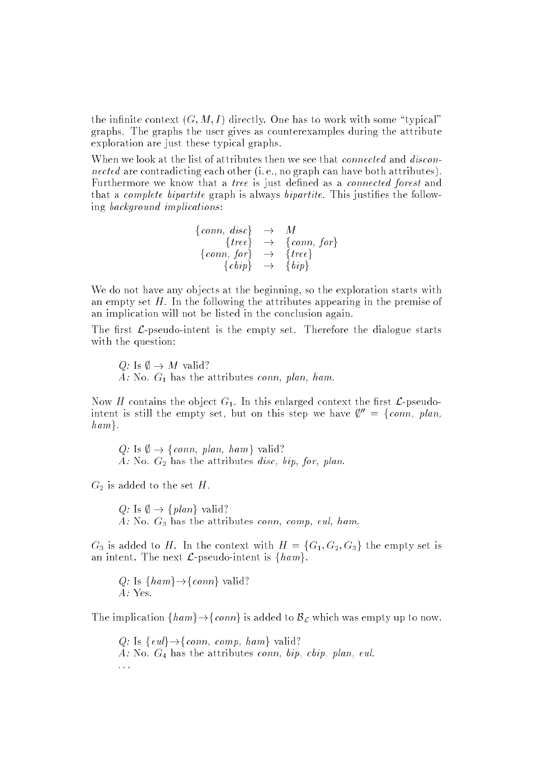the infinite context  $(G, M, I)$  directly. One has to work with some "typical" graphs. The graphs the user gives as counterexamples during the attribute exploration are just these typical graphs.

When we look at the list of attributes then we see that *connected* and *discon*nected are contradicting each other (i. e., no graph can have both attributes). Furthermore we know that a *tree* is just defined as a *connected forest* and that a *complete bipartite* graph is always *bipartite*. This justifies the following background implications :

$$
\begin{array}{ccc}\n\{conn, disc\} & \rightarrow & M \\
\{ tree \} & \rightarrow & \{ conn, for \} \\
\{ conn, for \} & \rightarrow & \{ tree \} \\
\{ cbip \} & \rightarrow & \{ bip \}\n\end{array}
$$

We do not have any objects at the beginning, so the exploration starts with an empty set  $H$ . In the following the attributes appearing in the premise of an implication will not be listed in the conclusion again.

The first  $\mathcal{L}$ -pseudo-intent is the empty set. Therefore the dialogue starts with the question:

Q: Is  $\emptyset \to M$  valid? A: No.  $G_1$  has the attributes conn, plan, ham.

Now H contains the object  $G_1$ . In this enlarged context the first  $\mathcal{L}$ -pseudointent is still the empty set, but on this step we have  $\emptyset'' = \{conn, plan,$  $\{ham\}.$ 

 $Q: \text{Is } \emptyset \to \{conn, plan, ham\}$  valid?  $A: No. G<sub>2</sub>$  has the attributes disc, bip, for, plan.

 $G_2$  is added to the set H.

Q: Is  $\emptyset \rightarrow \{plan\}$  valid?  $A: No. G<sub>3</sub>$  has the attributes conn, comp, eul, ham.

 $G_3$  is added to H. In the context with  $H = \{G_1, G_2, G_3\}$  the empty set is an intent. The next  $\mathcal{L}$ -pseudo-intent is  $\{ham\}.$ 

 $Q:$  Is  $\{ham\} \rightarrow \{conn\}$  valid?  $\overrightarrow{A}$ : Yes.

The implication  $\{ham\} \rightarrow \{conn\}$  is added to  $\mathcal{B}_{\mathcal{L}}$  which was empty up to now.

 $Q: \text{Is } \{ \text{eu} \} \rightarrow \{ \text{conn}, \text{comp}, \text{ham} \}$  valid?  $A: No. G<sub>4</sub>$  has the attributes conn, bip, cbip, plan, eul. : : :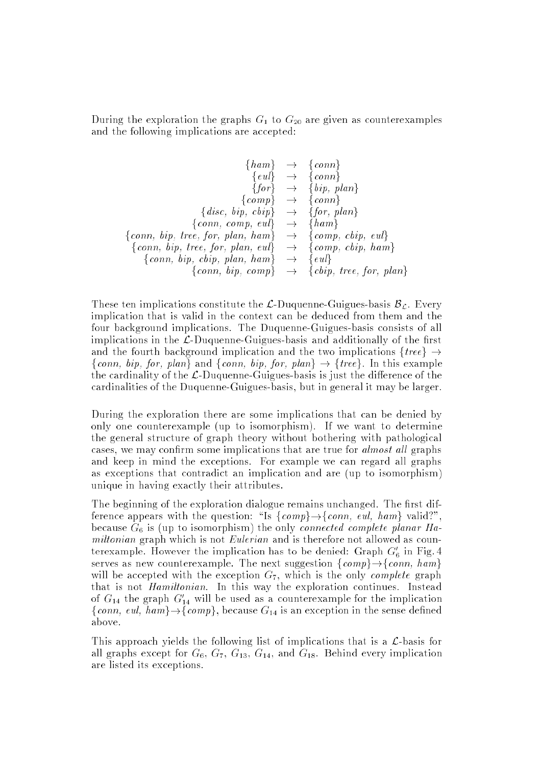During the exploration the graphs  $G_1$  to  $G_{20}$  are given as counterexamples and the following implications are accepted:

$$
\{ham\} \rightarrow \{conn\}
$$
\n
$$
\{eul\} \rightarrow \{conn\}
$$
\n
$$
\{for\} \rightarrow \{bin, plan\}
$$
\n
$$
\{drop\} \rightarrow \{conn\}
$$
\n
$$
\{comp\} \rightarrow \{form\}
$$
\n
$$
\{disc, bip, cbip\} \rightarrow \{for, plan\}
$$
\n
$$
\{conn, comp, eul\} \rightarrow \{ham\}
$$
\n
$$
\{conn, bip, tree, for, plan, ham\} \rightarrow \{comp, cbip, eul\}
$$
\n
$$
\{conn, bip, tree, for, plan, eul\} \rightarrow \{comp, cbip, ham\}
$$
\n
$$
\{conn, bip, cbip, plan, ham\} \rightarrow \{eul\}
$$
\n
$$
\{conn, bip, cbip, nomp\} \rightarrow \{cbip, tree, for, plan\}
$$

These ten implications constitute the  $\mathcal{L}$ -Duquenne-Guigues-basis  $\mathcal{B}_{\mathcal{L}}$ . Every implication that is valid in the context can be deduced from them and the four background implications. The Duquenne-Guigues-basis consists of all implications in the  $\mathcal{L}\text{-}\mathrm{D}$ uquenne-Guigues-basis and additionally of the first and the fourth background implication and the two implications  $\{tree\} \rightarrow$ {conn, bip, for, plan} and {conn, bip, for, plan}  $\rightarrow$  {tree}. In this example the cardinality of the  $\mathcal{L}\text{-}D$ uquenne-Guigues-basis is just the difference of the cardinalities of the Duquenne-Guigues-basis, but in general it may be larger.

During the exploration there are some implications that can be denied by only one counterexample (up to isomorphism). If we want to determine the general structure of graph theory without bothering with pathological cases, we may confirm some implications that are true for *almost all* graphs and keep in mind the exceptions. For example we can regard all graphs as exceptions that contradict an implication and are (up to isomorphism) unique in having exactly their attributes.

The beginning of the exploration dialogue remains unchanged. The first difference appears with the question: "Is  $\{comp\} \rightarrow \{conn, \text{eul, ham}\}$  valid?". because  $G_6$  is (up to isomorphism) the only *connected complete planar Ha*miltonian graph which is not Eulerian and is therefore not allowed as counterexample. However the implication has to be denied: Graph  $G_6$  in Fig. 4 serves as new counterexample. The next suggestion  $\{comp\} \rightarrow \{conn, ham\}$ will be accepted with the exception  $G_7$ , which is the only *complete* graph that is not Hamiltonian. In this way the exploration continues. Instead of  $\sigma_{14}$  the graph  $\sigma_{14}$  will be used as a counterexample for the implication  $\{conn, \text{eu}, \text{ham}\}\rightarrow \{comp\}$ , because  $G_{14}$  is an exception in the sense defined above.

This approach yields the following list of implications that is a  $\mathcal{L}$ -basis for all graphs except for  $G_6$ ,  $G_7$ ,  $G_{13}$ ,  $G_{14}$ , and  $G_{18}$ . Behind every implication are listed its exceptions.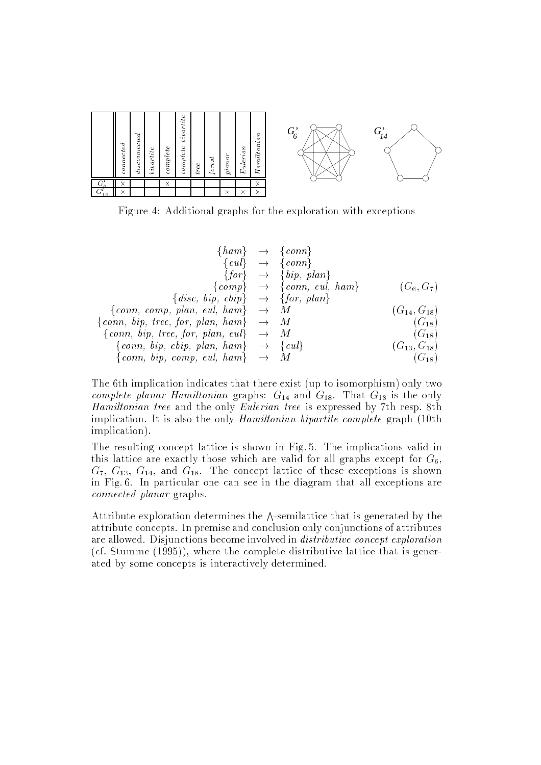

Figure 4: Additional graphs for the exploration with exceptions

$$
\{ham\} \rightarrow \{conn\}
$$
\n
$$
\{eul\} \rightarrow \{conn\}
$$
\n
$$
\{for\} \rightarrow \{bin, plan\}
$$
\n
$$
\{drop\} \rightarrow \{conn, eul, ham\}
$$
\n
$$
\{disc, bip, cbip\} \rightarrow \{for, plan\}
$$
\n
$$
\{conn, comp, plan, eul, ham\} \rightarrow M
$$
\n
$$
\{conn, bip, tree, for, plan, ham\} \rightarrow M
$$
\n
$$
\{conn, bip, tree, for, plan, eul\} \rightarrow M
$$
\n
$$
\{conn, bip, tree, for, plan, ham\} \rightarrow M
$$
\n
$$
\{conn, bip, cbip, plan, ham\} \rightarrow \{eul\}
$$
\n
$$
\{conn, bip, coinp, eul, ham\} \rightarrow M
$$
\n
$$
\{G_{18}\}
$$
\n
$$
\{conn, bip, comp, eul, ham\} \rightarrow M
$$
\n
$$
(G_{18})
$$
\n
$$
\{conn, bip, comp, eul, ham\} \rightarrow M
$$
\n
$$
(G_{18})
$$
\n
$$
\{G_{18}, G_{18}\}
$$
\n
$$
\{G_{18}, G_{18}\}
$$
\n
$$
\{G_{18}, G_{18}\}
$$

The 6th implication indicates that there exist (up to isomorphism) only two complete planar Hamiltonian graphs:  $G_{14}$  and  $G_{18}$ . That  $G_{18}$  is the only Hamiltonian tree and the only Eulerian tree is expressed by 7th resp. 8th implication. It is also the only Hamiltonian bipartite complete graph (10th implication).

The resulting concept lattice is shown in Fig. 5. The implications valid in this lattice are exactly those which are valid for all graphs except for  $G_6$ ,  $G_7, G_{13}, G_{14}$ , and  $G_{18}$ . The concept lattice of these exceptions is shown in Fig. 6. In particular one can see in the diagram that all exceptions are connected planar graphs.

Attribute exploration determines the  $\Lambda$ -semilattice that is generated by the attribute concepts. In premise and conclusion only conjunctions of attributes are allowed. Disjunctions become involved in distributive concept exploration (cf. Stumme (1995)), where the complete distributive lattice that is generated by some concepts is interactively determined.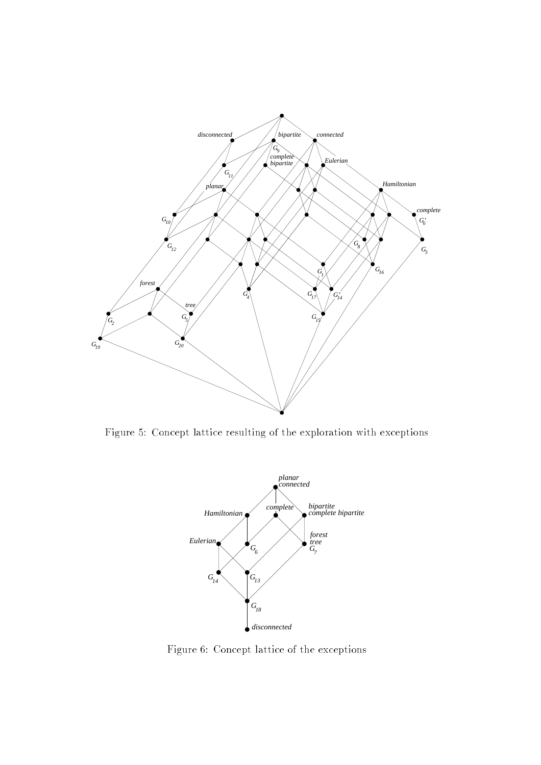

Figure 5: Concept lattice resulting of the exploration with exceptions



Figure 6: Concept lattice of the exceptions